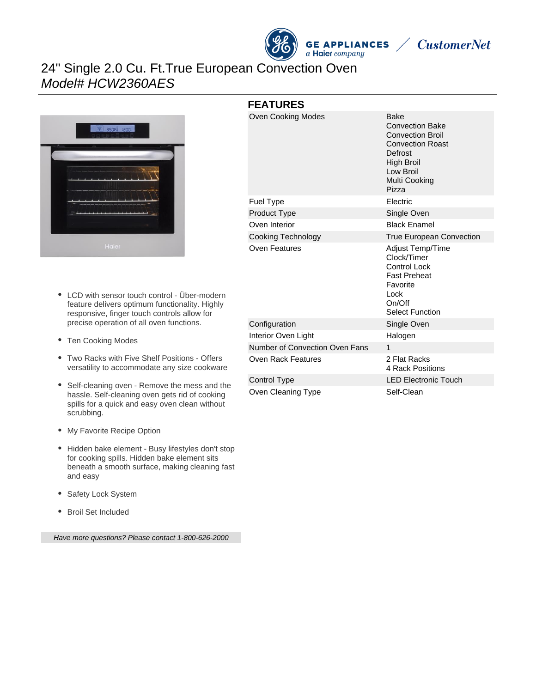

**CustomerNet** 

# 24" Single 2.0 Cu. Ft.True European Convection Oven Model# HCW2360AES



- LCD with sensor touch control Über-modern feature delivers optimum functionality. Highly responsive, finger touch controls allow for precise operation of all oven functions.
- Ten Cooking Modes
- Two Racks with Five Shelf Positions Offers versatility to accommodate any size cookware
- Self-cleaning oven Remove the mess and the hassle. Self-cleaning oven gets rid of cooking spills for a quick and easy oven clean without scrubbing.
- My Favorite Recipe Option
- Hidden bake element Busy lifestyles don't stop for cooking spills. Hidden bake element sits beneath a smooth surface, making cleaning fast and easy
- Safety Lock System
- Broil Set Included

Have more questions? Please contact 1-800-626-2000

| <b>FEATURES</b>                |                                                                                                                                                             |
|--------------------------------|-------------------------------------------------------------------------------------------------------------------------------------------------------------|
| Oven Cooking Modes             | Bake<br><b>Convection Bake</b><br><b>Convection Broil</b><br><b>Convection Roast</b><br>Defrost<br><b>High Broil</b><br>Low Broil<br>Multi Cooking<br>Pizza |
| Fuel Type                      | Electric                                                                                                                                                    |
| Product Type                   | Single Oven                                                                                                                                                 |
| Oven Interior                  | <b>Black Enamel</b>                                                                                                                                         |
| <b>Cooking Technology</b>      | <b>True European Convection</b>                                                                                                                             |
| Oven Features                  | Adjust Temp/Time<br>Clock/Timer<br><b>Control Lock</b><br><b>Fast Preheat</b><br>Favorite<br>Lock<br>On/Off<br><b>Select Function</b>                       |
| Configuration                  | Single Oven                                                                                                                                                 |
| Interior Oven Light            | Halogen                                                                                                                                                     |
| Number of Convection Oven Fans | 1                                                                                                                                                           |
| Oven Rack Features             | 2 Flat Racks<br>4 Rack Positions                                                                                                                            |
| <b>Control Type</b>            | <b>LED Electronic Touch</b>                                                                                                                                 |
| Oven Cleaning Type             | Self-Clean                                                                                                                                                  |